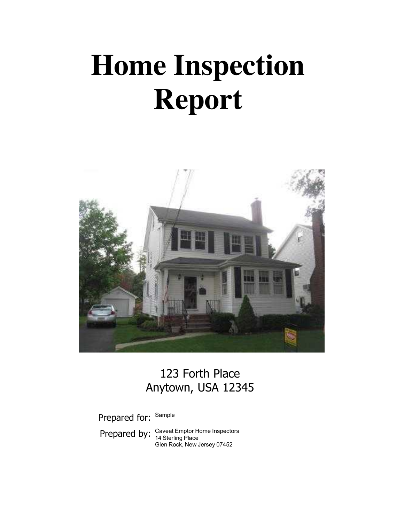# **Home Inspection Report**



# 123 Forth Place Anytown, USA 12345

Prepared for: Sample

Prepared by: Caveat Emptor Home Inspectors Glen Rock, New Jersey 07452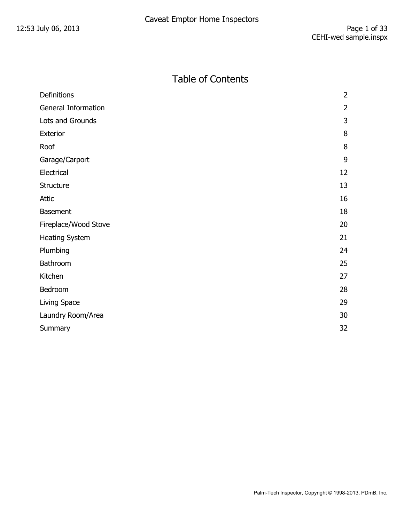## Table of Contents

| Definitions                | $\overline{2}$ |
|----------------------------|----------------|
| <b>General Information</b> | $\overline{2}$ |
| Lots and Grounds           | 3              |
| Exterior                   | 8              |
| Roof                       | 8              |
| Garage/Carport             | 9              |
| Electrical                 | 12             |
| Structure                  | 13             |
| <b>Attic</b>               | 16             |
| <b>Basement</b>            | 18             |
| Fireplace/Wood Stove       | 20             |
| <b>Heating System</b>      | 21             |
| Plumbing                   | 24             |
| Bathroom                   | 25             |
| Kitchen                    | 27             |
| Bedroom                    | 28             |
| Living Space               | 29             |
| Laundry Room/Area          | 30             |
| Summary                    | 32             |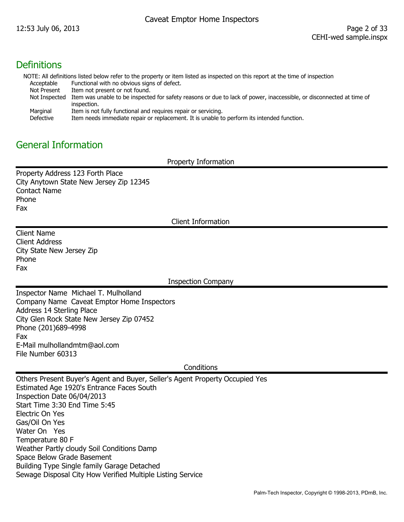#### **Definitions**

NOTE: All definitions listed below refer to the property or item listed as inspected on this report at the time of inspection Acceptable Functional with no obvious signs of defect.

- Not Present Item not present or not found.
- Not Inspected Item was unable to be inspected for safety reasons or due to lack of power, inaccessible, or disconnected at time of inspection.
- Marginal Item is not fully functional and requires repair or servicing.
- Defective Item needs immediate repair or replacement. It is unable to perform its intended function.

#### General Information

Property Information

Property Address 123 Forth Place City Anytown State New Jersey Zip 12345 Contact Name Phone Fax

Client Information

Client Name Client Address City State New Jersey Zip Phone Fax

Inspection Company

Inspector Name Michael T. Mulholland Company Name Caveat Emptor Home Inspectors Address 14 Sterling Place City Glen Rock State New Jersey Zip 07452 Phone (201)689-4998 Fax E-Mail mulhollandmtm@aol.com File Number 60313

**Conditions** 

Others Present Buyer's Agent and Buyer, Seller's Agent Property Occupied Yes Estimated Age 1920's Entrance Faces South Inspection Date 06/04/2013 Start Time 3:30 End Time 5:45 Electric On Yes Gas/Oil On Yes Water On Yes Temperature 80 F Weather Partly cloudy Soil Conditions Damp Space Below Grade Basement Building Type Single family Garage Detached Sewage Disposal City How Verified Multiple Listing Service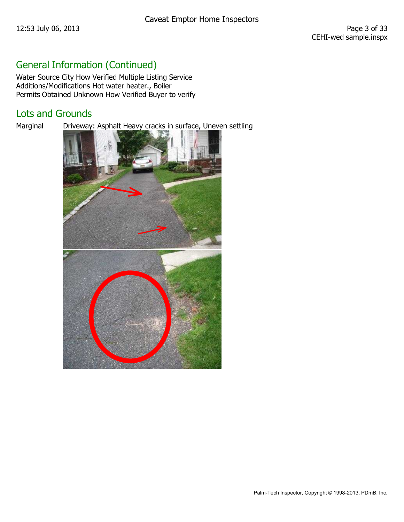# General Information (Continued)

Water Source City How Verified Multiple Listing Service Additions/Modifications Hot water heater., Boiler Permits Obtained Unknown How Verified Buyer to verify

## Lots and Grounds

Marginal Driveway: Asphalt Heavy cracks in surface, Uneven settling

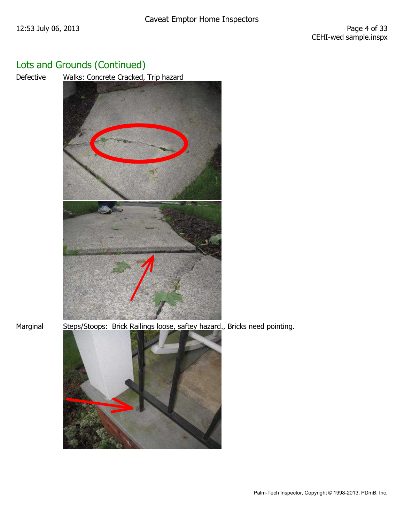Defective Walks: Concrete Cracked, Trip hazard



Marginal Steps/Stoops: Brick Railings loose, saftey hazard., Bricks need pointing.

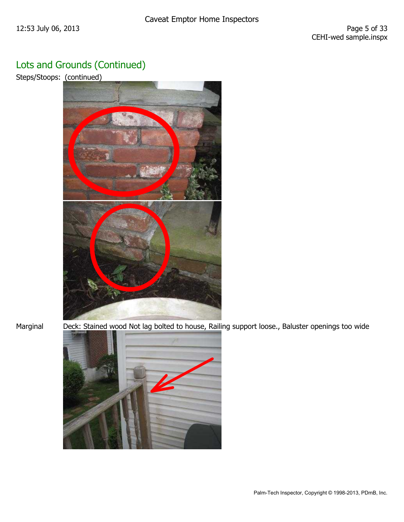Steps/Stoops: (continued)



Marginal Deck: Stained wood Not lag bolted to house, Railing support loose., Baluster openings too wide

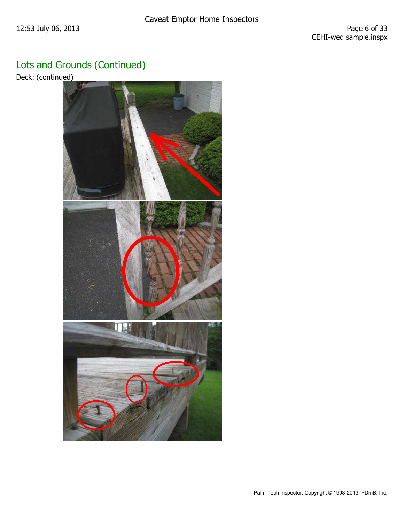Deck: (continued)

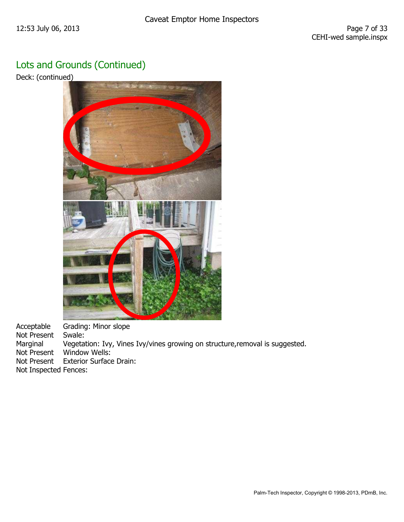Deck: (continued)



Acceptable Grading: Minor slope Not Present Swale: Marginal Vegetation: Ivy, Vines Ivy/vines growing on structure,removal is suggested. Not Present Window Wells: Not Present Exterior Surface Drain: Not Inspected Fences: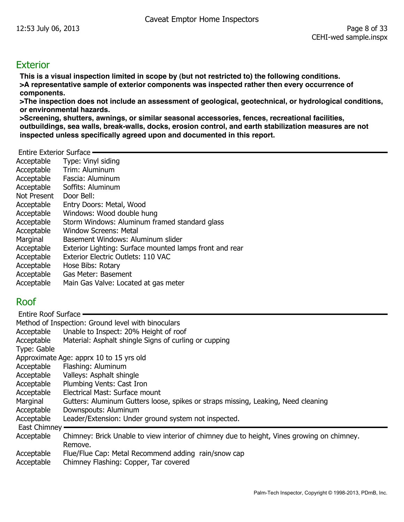#### **Exterior**

**This is a visual inspection limited in scope by (but not restricted to) the following conditions. >A representative sample of exterior components was inspected rather then every occurrence of components.** 

**>The inspection does not include an assessment of geological, geotechnical, or hydrological conditions, or environmental hazards.** 

**>Screening, shutters, awnings, or similar seasonal accessories, fences, recreational facilities, outbuildings, sea walls, break-walls, docks, erosion control, and earth stabilization measures are not inspected unless specifically agreed upon and documented in this report.** 

Entire Exterior Surface

| Acceptable  | Type: Vinyl siding                                      |
|-------------|---------------------------------------------------------|
| Acceptable  | Trim: Aluminum                                          |
| Acceptable  | Fascia: Aluminum                                        |
| Acceptable  | Soffits: Aluminum                                       |
| Not Present | Door Bell:                                              |
| Acceptable  | Entry Doors: Metal, Wood                                |
| Acceptable  | Windows: Wood double hung                               |
| Acceptable  | Storm Windows: Aluminum framed standard glass           |
| Acceptable  | Window Screens: Metal                                   |
| Marginal    | Basement Windows: Aluminum slider                       |
| Acceptable  | Exterior Lighting: Surface mounted lamps front and rear |
| Acceptable  | Exterior Electric Outlets: 110 VAC                      |
| Acceptable  | Hose Bibs: Rotary                                       |
| Acceptable  | Gas Meter: Basement                                     |
| Acceptable  | Main Gas Valve: Located at gas meter                    |

#### Roof

| <b>Entire Roof Surface</b> |                                                                                            |
|----------------------------|--------------------------------------------------------------------------------------------|
|                            | Method of Inspection: Ground level with binoculars                                         |
| Acceptable                 | Unable to Inspect: 20% Height of roof                                                      |
| Acceptable                 | Material: Asphalt shingle Signs of curling or cupping                                      |
| Type: Gable                |                                                                                            |
|                            | Approximate Age: apprx 10 to 15 yrs old                                                    |
| Acceptable                 | Flashing: Aluminum                                                                         |
| Acceptable                 | Valleys: Asphalt shingle                                                                   |
| Acceptable                 | Plumbing Vents: Cast Iron                                                                  |
| Acceptable                 | Electrical Mast: Surface mount                                                             |
| Marginal                   | Gutters: Aluminum Gutters loose, spikes or straps missing, Leaking, Need cleaning          |
| Acceptable                 | Downspouts: Aluminum                                                                       |
| Acceptable                 | Leader/Extension: Under ground system not inspected.                                       |
| <b>East Chimney</b>        |                                                                                            |
| Acceptable                 | Chimney: Brick Unable to view interior of chimney due to height, Vines growing on chimney. |
|                            | Remove.                                                                                    |
| Acceptable                 | Flue/Flue Cap: Metal Recommend adding rain/snow cap                                        |
| Acceptable                 | Chimney Flashing: Copper, Tar covered                                                      |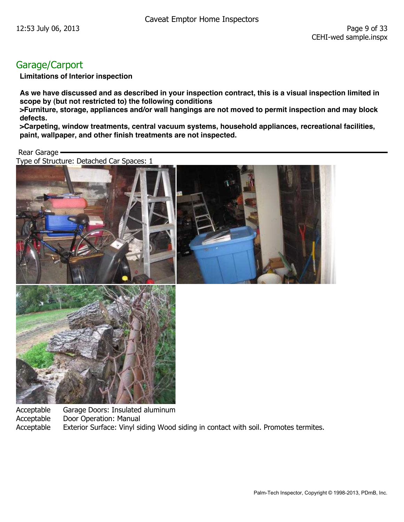## Garage/Carport

**Limitations of Interior inspection** 

**As we have discussed and as described in your inspection contract, this is a visual inspection limited in scope by (but not restricted to) the following conditions** 

**>Furniture, storage, appliances and/or wall hangings are not moved to permit inspection and may block defects.** 

**>Carpeting, window treatments, central vacuum systems, household appliances, recreational facilities, paint, wallpaper, and other finish treatments are not inspected.** 

Rear Garage

Type of Structure: Detached Car Spaces: 1





Acceptable Garage Doors: Insulated aluminum Acceptable Door Operation: Manual Acceptable Exterior Surface: Vinyl siding Wood siding in contact with soil. Promotes termites.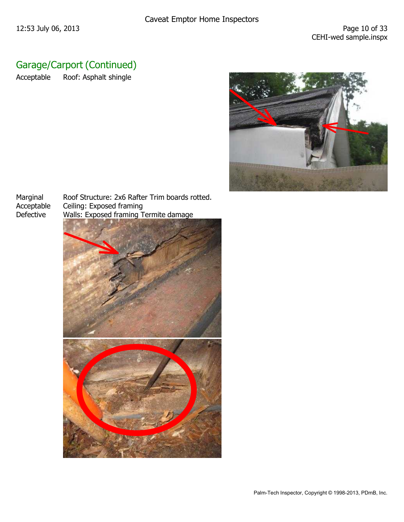# Garage/Carport (Continued)

Acceptable Roof: Asphalt shingle



Marginal Roof Structure: 2x6 Rafter Trim boards rotted.<br>Acceptable Ceiling: Exposed framing Ceiling: Exposed framing Defective Walls: Exposed framing Termite damage

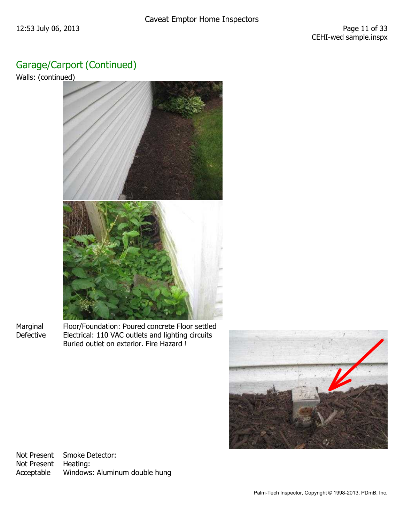## Garage/Carport (Continued)

Walls: (continued)



Marginal Floor/Foundation: Poured concrete Floor settled Defective Electrical: 110 VAC outlets and lighting circuits Buried outlet on exterior. Fire Hazard !



Not Present Smoke Detector: Not Present Heating: Acceptable Windows: Aluminum double hung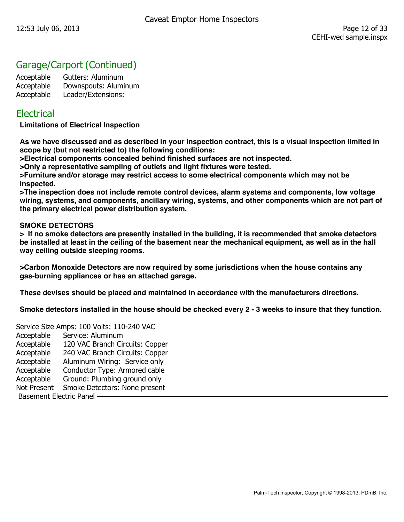## Garage/Carport (Continued)

Acceptable Gutters: Aluminum Acceptable Downspouts: Aluminum Acceptable Leader/Extensions:

#### **Electrical**

**Limitations of Electrical Inspection** 

**As we have discussed and as described in your inspection contract, this is a visual inspection limited in scope by (but not restricted to) the following conditions:** 

**>Electrical components concealed behind finished surfaces are not inspected.** 

**>Only a representative sampling of outlets and light fixtures were tested.** 

**>Furniture and/or storage may restrict access to some electrical components which may not be inspected.** 

**>The inspection does not include remote control devices, alarm systems and components, low voltage wiring, systems, and components, ancillary wiring, systems, and other components which are not part of the primary electrical power distribution system.** 

#### **SMOKE DETECTORS**

**> If no smoke detectors are presently installed in the building, it is recommended that smoke detectors be installed at least in the ceiling of the basement near the mechanical equipment, as well as in the hall way ceiling outside sleeping rooms.** 

**>Carbon Monoxide Detectors are now required by some jurisdictions when the house contains any gas-burning appliances or has an attached garage.** 

**These devises should be placed and maintained in accordance with the manufacturers directions.** 

**Smoke detectors installed in the house should be checked every 2 - 3 weeks to insure that they function.** 

Service Size Amps: 100 Volts: 110-240 VAC Acceptable Service: Aluminum Acceptable 120 VAC Branch Circuits: Copper Acceptable 240 VAC Branch Circuits: Copper Acceptable Aluminum Wiring: Service only Acceptable Conductor Type: Armored cable Acceptable Ground: Plumbing ground only Not Present Smoke Detectors: None present Basement Electric Panel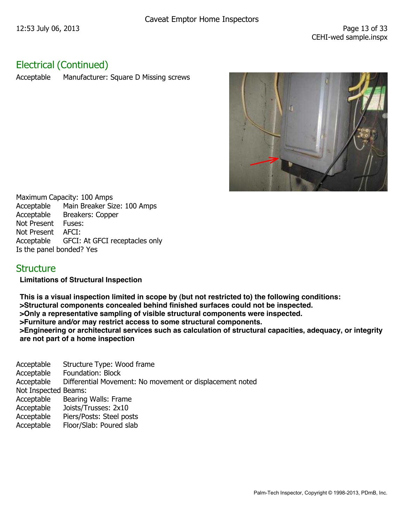## Electrical (Continued)

Acceptable Manufacturer: Square D Missing screws



Maximum Capacity: 100 Amps Acceptable Main Breaker Size: 100 Amps Acceptable Breakers: Copper Not Present Fuses: Not Present AFCI: Acceptable GFCI: At GFCI receptacles only Is the panel bonded? Yes

#### **Structure**

**Limitations of Structural Inspection** 

**This is a visual inspection limited in scope by (but not restricted to) the following conditions: >Structural components concealed behind finished surfaces could not be inspected. >Only a representative sampling of visible structural components were inspected. >Furniture and/or may restrict access to some structural components. >Engineering or architectural services such as calculation of structural capacities, adequacy, or integrity are not part of a home inspection** 

Acceptable Structure Type: Wood frame Acceptable Foundation: Block Acceptable Differential Movement: No movement or displacement noted Not Inspected Beams: Acceptable Bearing Walls: Frame Acceptable Joists/Trusses: 2x10 Acceptable Piers/Posts: Steel posts Acceptable Floor/Slab: Poured slab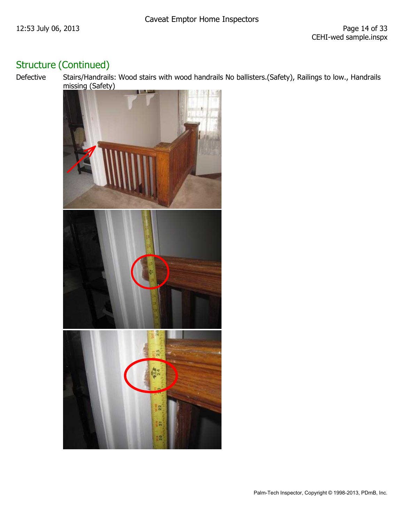## Structure (Continued)

Defective Stairs/Handrails: Wood stairs with wood handrails No ballisters.(Safety), Railings to low., Handrails missing (Safety)

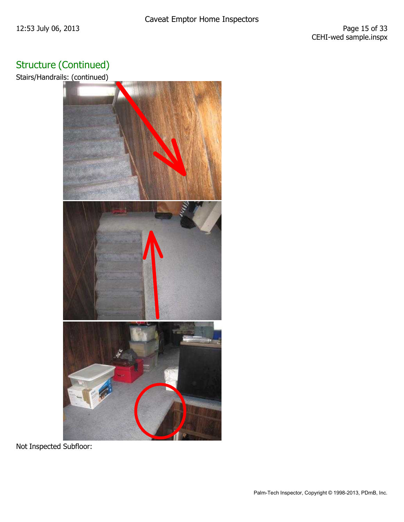# Structure (Continued)

Stairs/Handrails: (continued)



Not Inspected Subfloor: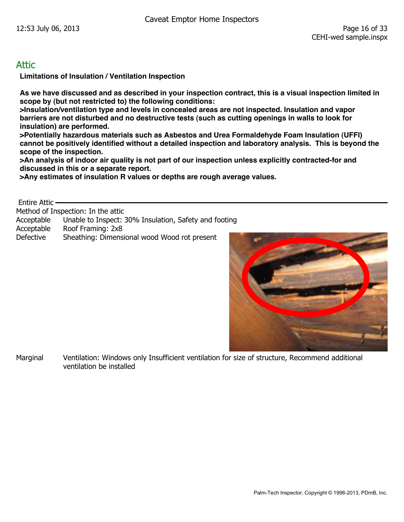#### Attic

**Limitations of Insulation / Ventilation Inspection** 

**As we have discussed and as described in your inspection contract, this is a visual inspection limited in scope by (but not restricted to) the following conditions:** 

**>Insulation/ventilation type and levels in concealed areas are not inspected. Insulation and vapor barriers are not disturbed and no destructive tests (such as cutting openings in walls to look for insulation) are performed.** 

**>Potentially hazardous materials such as Asbestos and Urea Formaldehyde Foam Insulation (UFFI) cannot be positively identified without a detailed inspection and laboratory analysis. This is beyond the scope of the inspection.** 

**>An analysis of indoor air quality is not part of our inspection unless explicitly contracted-for and discussed in this or a separate report.** 

**>Any estimates of insulation R values or depths are rough average values.** 

Entire Attic

Method of Inspection: In the attic

Acceptable Unable to Inspect: 30% Insulation, Safety and footing

Acceptable Roof Framing: 2x8

Defective Sheathing: Dimensional wood Wood rot present



Marginal Ventilation: Windows only Insufficient ventilation for size of structure, Recommend additional ventilation be installed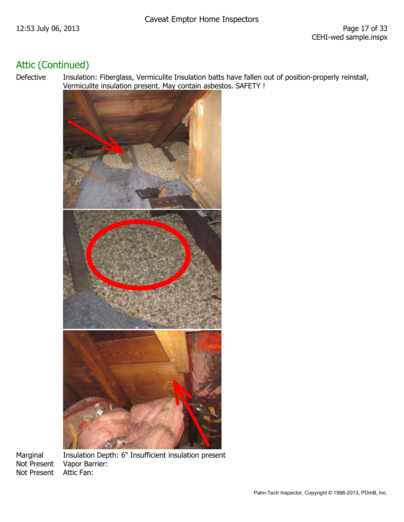## Attic (Continued)

Defective Insulation: Fiberglass, Vermiculite Insulation batts have fallen out of position-properly reinstall, Vermiculite insulation present. May contain asbestos. SAFETY !



Not Present

Marginal Insulation Depth: 6" Insufficient insulation present Not Present Vapor Barrier:<br>Not Present Attic Fan: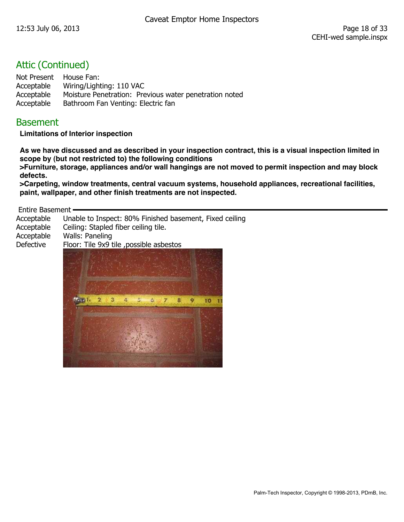#### Attic (Continued)

Not Present House Fan: Acceptable Wiring/Lighting: 110 VAC Acceptable Moisture Penetration: Previous water penetration noted Acceptable Bathroom Fan Venting: Electric fan

#### **Basement**

**Limitations of Interior inspection** 

**As we have discussed and as described in your inspection contract, this is a visual inspection limited in scope by (but not restricted to) the following conditions** 

**>Furniture, storage, appliances and/or wall hangings are not moved to permit inspection and may block defects.** 

**>Carpeting, window treatments, central vacuum systems, household appliances, recreational facilities, paint, wallpaper, and other finish treatments are not inspected.** 

Entire Basement

| Ceiling: Stapled fiber ceiling tile.<br>Walls: Paneling |
|---------------------------------------------------------|
| Floor: Tile 9x9 tile , possible asbestos                |
|                                                         |
|                                                         |

Palm-Tech Inspector, Copyright © 1998-2013, PDmB, Inc.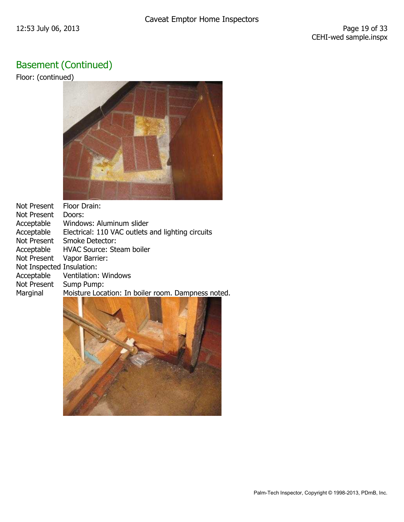# Basement (Continued)

Floor: (continued)



| <b>Not Present</b>        | Floor Drain:                                       |
|---------------------------|----------------------------------------------------|
| Not Present               | Doors:                                             |
| Acceptable                | Windows: Aluminum slider                           |
| Acceptable                | Electrical: 110 VAC outlets and lighting circuits  |
| Not Present               | <b>Smoke Detector:</b>                             |
| Acceptable                | <b>HVAC Source: Steam boiler</b>                   |
| <b>Not Present</b>        | Vapor Barrier:                                     |
| Not Inspected Insulation: |                                                    |
| Acceptable                | Ventilation: Windows                               |
| Not Present               | Sump Pump:                                         |
| Marginal                  | Moisture Location: In boiler room. Dampness noted. |
|                           |                                                    |

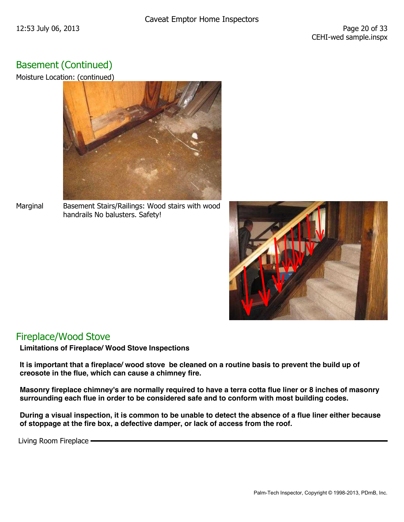## Basement (Continued)

Moisture Location: (continued)



Marginal Basement Stairs/Railings: Wood stairs with wood handrails No balusters. Safety!



#### Fireplace/Wood Stove

**Limitations of Fireplace/ Wood Stove Inspections** 

**It is important that a fireplace/ wood stove be cleaned on a routine basis to prevent the build up of creosote in the flue, which can cause a chimney fire.** 

**Masonry fireplace chimney's are normally required to have a terra cotta flue liner or 8 inches of masonry surrounding each flue in order to be considered safe and to conform with most building codes.** 

**During a visual inspection, it is common to be unable to detect the absence of a flue liner either because of stoppage at the fire box, a defective damper, or lack of access from the roof.** 

Living Room Fireplace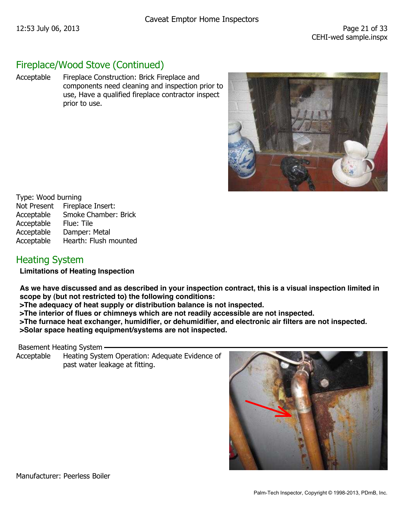#### Fireplace/Wood Stove (Continued)

Acceptable Fireplace Construction: Brick Fireplace and components need cleaning and inspection prior to use, Have a qualified fireplace contractor inspect prior to use.



Type: Wood burning Not Present Fireplace Insert: Acceptable Smoke Chamber: Brick Acceptable Flue: Tile Acceptable Damper: Metal Acceptable Hearth: Flush mounted

## Heating System

**Limitations of Heating Inspection** 

**As we have discussed and as described in your inspection contract, this is a visual inspection limited in scope by (but not restricted to) the following conditions:** 

**>The adequacy of heat supply or distribution balance is not inspected.** 

**>The interior of flues or chimneys which are not readily accessible are not inspected.** 

**>The furnace heat exchanger, humidifier, or dehumidifier, and electronic air filters are not inspected.** 

**>Solar space heating equipment/systems are not inspected.** 

Basement Heating System

Acceptable Heating System Operation: Adequate Evidence of past water leakage at fitting.



Manufacturer: Peerless Boiler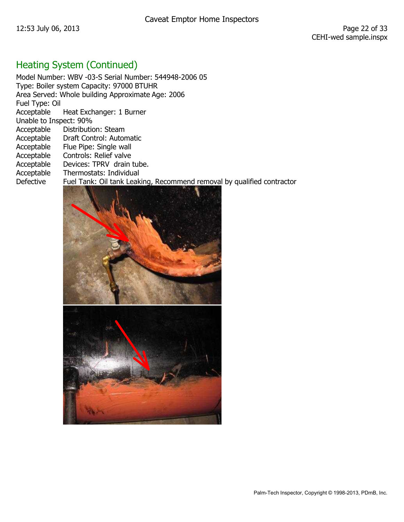# Heating System (Continued)

|                        | Model Number: WBV -03-S Serial Number: 544948-2006 05                  |
|------------------------|------------------------------------------------------------------------|
|                        | Type: Boiler system Capacity: 97000 BTUHR                              |
|                        | Area Served: Whole building Approximate Age: 2006                      |
| Fuel Type: Oil         |                                                                        |
|                        | Acceptable Heat Exchanger: 1 Burner                                    |
| Unable to Inspect: 90% |                                                                        |
| Acceptable             | Distribution: Steam                                                    |
| Acceptable             | Draft Control: Automatic                                               |
| Acceptable             | Flue Pipe: Single wall                                                 |
| Acceptable             | Controls: Relief valve                                                 |
| Acceptable             | Devices: TPRV drain tube.                                              |
| Acceptable             | Thermostats: Individual                                                |
| <b>Defective</b>       | Fuel Tank: Oil tank Leaking, Recommend removal by qualified contractor |
|                        |                                                                        |

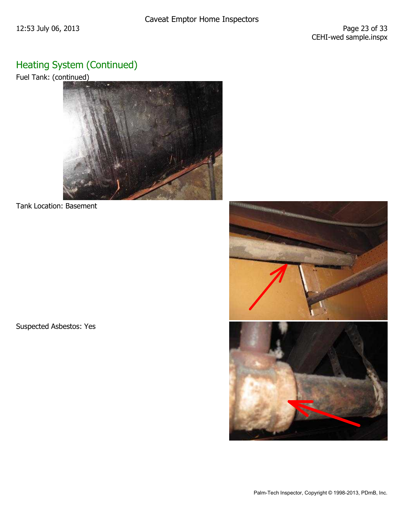# Heating System (Continued)

Fuel Tank: (continued)



Tank Location: Basement

Suspected Asbestos: Yes

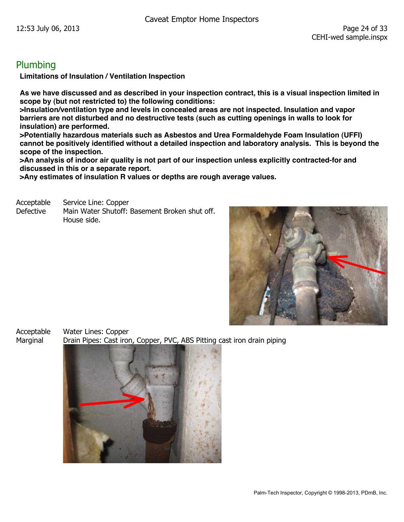#### Plumbing

**Limitations of Insulation / Ventilation Inspection** 

**As we have discussed and as described in your inspection contract, this is a visual inspection limited in scope by (but not restricted to) the following conditions:** 

**>Insulation/ventilation type and levels in concealed areas are not inspected. Insulation and vapor barriers are not disturbed and no destructive tests (such as cutting openings in walls to look for insulation) are performed.** 

**>Potentially hazardous materials such as Asbestos and Urea Formaldehyde Foam Insulation (UFFI) cannot be positively identified without a detailed inspection and laboratory analysis. This is beyond the scope of the inspection.** 

**>An analysis of indoor air quality is not part of our inspection unless explicitly contracted-for and discussed in this or a separate report.** 

**>Any estimates of insulation R values or depths are rough average values.** 

Acceptable Service Line: Copper Defective Main Water Shutoff: Basement Broken shut off. House side.



Acceptable Water Lines: Copper Marginal Drain Pipes: Cast iron, Copper, PVC, ABS Pitting cast iron drain piping

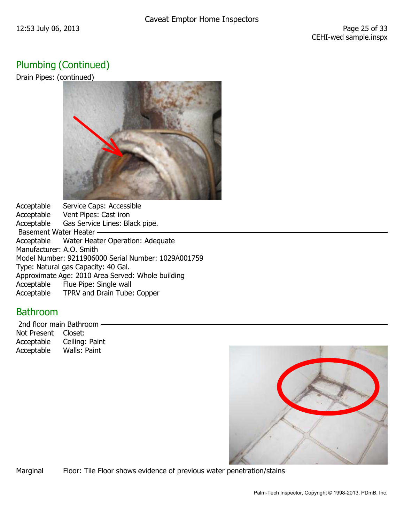## Plumbing (Continued)

Drain Pipes: (continued)



Acceptable Service Caps: Accessible Acceptable Vent Pipes: Cast iron Acceptable Gas Service Lines: Black pipe. Basement Water Heater -Acceptable Water Heater Operation: Adequate Manufacturer: A.O. Smith Model Number: 9211906000 Serial Number: 1029A001759 Type: Natural gas Capacity: 40 Gal. Approximate Age: 2010 Area Served: Whole building Acceptable Flue Pipe: Single wall Acceptable TPRV and Drain Tube: Copper

#### Bathroom

 2nd floor main Bathroom Not Present Closet: Acceptable Ceiling: Paint Acceptable Walls: Paint



Marginal Floor: Tile Floor shows evidence of previous water penetration/stains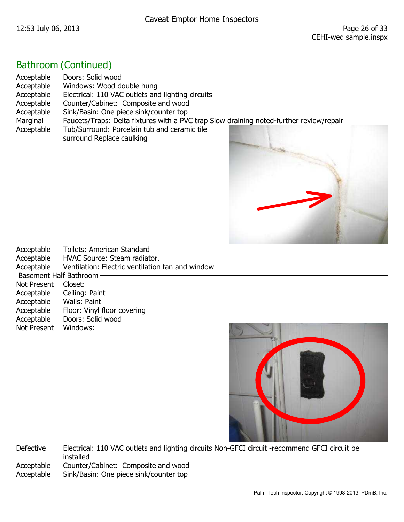## Bathroom (Continued)

| Acceptable | Doors: Solid wood                                                                       |
|------------|-----------------------------------------------------------------------------------------|
| Acceptable | Windows: Wood double hung                                                               |
| Acceptable | Electrical: 110 VAC outlets and lighting circuits                                       |
| Acceptable | Counter/Cabinet: Composite and wood                                                     |
| Acceptable | Sink/Basin: One piece sink/counter top                                                  |
| Marginal   | Faucets/Traps: Delta fixtures with a PVC trap Slow draining noted-further review/repair |
| Acceptable | Tub/Surround: Porcelain tub and ceramic tile                                            |
|            | surround Replace caulking                                                               |

| Acceptable                    | Toilets: American Standard                       |
|-------------------------------|--------------------------------------------------|
| Acceptable                    | HVAC Source: Steam radiator.                     |
| Acceptable                    | Ventilation: Electric ventilation fan and window |
| <b>Basement Half Bathroom</b> |                                                  |
| <b>Not Present</b>            | Closet:                                          |
| Acceptable                    | Ceiling: Paint                                   |
| Acceptable                    | Walls: Paint                                     |
| Acceptable                    | Floor: Vinyl floor covering                      |
| Acceptable                    | Doors: Solid wood                                |
| <b>Not Present</b>            | Windows:                                         |

![](_page_26_Picture_6.jpeg)

Defective Electrical: 110 VAC outlets and lighting circuits Non-GFCI circuit -recommend GFCI circuit be installed Acceptable Counter/Cabinet: Composite and wood Acceptable Sink/Basin: One piece sink/counter top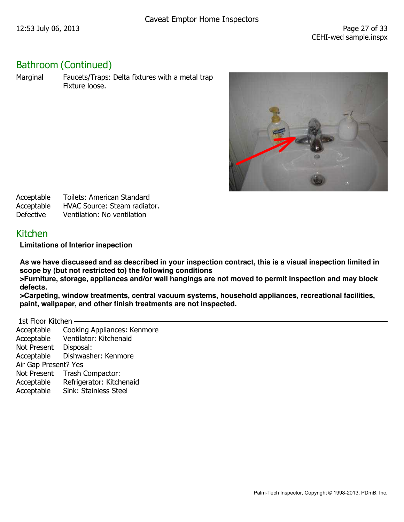## Bathroom (Continued)

Marginal Faucets/Traps: Delta fixtures with a metal trap Fixture loose.

![](_page_27_Picture_5.jpeg)

| Acceptable       | <b>Toilets: American Standard</b> |
|------------------|-----------------------------------|
| Acceptable       | HVAC Source: Steam radiator.      |
| <b>Defective</b> | Ventilation: No ventilation       |

#### Kitchen

**Limitations of Interior inspection** 

**As we have discussed and as described in your inspection contract, this is a visual inspection limited in scope by (but not restricted to) the following conditions** 

**>Furniture, storage, appliances and/or wall hangings are not moved to permit inspection and may block defects.** 

**>Carpeting, window treatments, central vacuum systems, household appliances, recreational facilities, paint, wallpaper, and other finish treatments are not inspected.** 

 1st Floor Kitchen Acceptable Cooking Appliances: Kenmore Acceptable Ventilator: Kitchenaid Not Present Disposal: Acceptable Dishwasher: Kenmore Air Gap Present? Yes Not Present Trash Compactor: Acceptable Refrigerator: Kitchenaid Acceptable Sink: Stainless Steel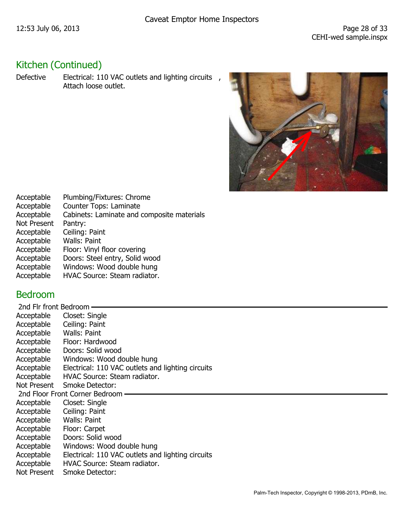# Kitchen (Continued)

Defective Electrical: 110 VAC outlets and lighting circuits, Attach loose outlet.

![](_page_28_Picture_5.jpeg)

| Acceptable         | Plumbing/Fixtures: Chrome                  |
|--------------------|--------------------------------------------|
| Acceptable         | Counter Tops: Laminate                     |
| Acceptable         | Cabinets: Laminate and composite materials |
| <b>Not Present</b> | Pantry:                                    |
| Acceptable         | Ceiling: Paint                             |
| Acceptable         | Walls: Paint                               |
| Acceptable         | Floor: Vinyl floor covering                |
| Acceptable         | Doors: Steel entry, Solid wood             |
| Acceptable         | Windows: Wood double hung                  |
| Acceptable         | HVAC Source: Steam radiator.               |
|                    |                                            |

## Bedroom

| 2nd Flr front Bedroom -                           |  |
|---------------------------------------------------|--|
| Closet: Single                                    |  |
| Ceiling: Paint                                    |  |
| Walls: Paint                                      |  |
| Floor: Hardwood                                   |  |
| Doors: Solid wood                                 |  |
| Windows: Wood double hung                         |  |
| Electrical: 110 VAC outlets and lighting circuits |  |
| HVAC Source: Steam radiator.                      |  |
| <b>Smoke Detector:</b><br>Not Present             |  |
| 2nd Floor Front Corner Bedroom                    |  |
| Closet: Single                                    |  |
| Ceiling: Paint                                    |  |
| Walls: Paint                                      |  |
| Floor: Carpet                                     |  |
| Doors: Solid wood                                 |  |
| Windows: Wood double hung                         |  |
| Electrical: 110 VAC outlets and lighting circuits |  |
| HVAC Source: Steam radiator.                      |  |
| <b>Smoke Detector:</b>                            |  |
|                                                   |  |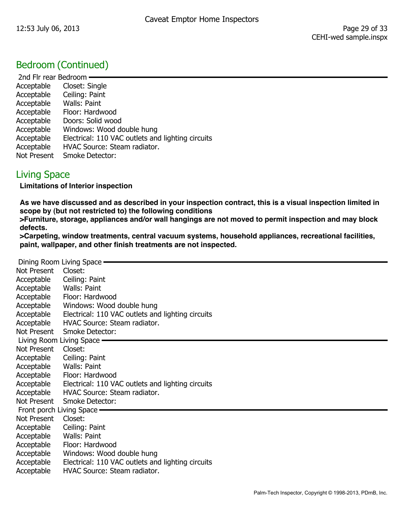## Bedroom (Continued)

 2nd Flr rear Bedroom Acceptable Closet: Single Acceptable Ceiling: Paint Acceptable Walls: Paint Acceptable Floor: Hardwood Acceptable Doors: Solid wood Acceptable Windows: Wood double hung Acceptable Electrical: 110 VAC outlets and lighting circuits Acceptable HVAC Source: Steam radiator. Not Present Smoke Detector:

#### Living Space

**Limitations of Interior inspection** 

**As we have discussed and as described in your inspection contract, this is a visual inspection limited in scope by (but not restricted to) the following conditions** 

**>Furniture, storage, appliances and/or wall hangings are not moved to permit inspection and may block defects.** 

**>Carpeting, window treatments, central vacuum systems, household appliances, recreational facilities, paint, wallpaper, and other finish treatments are not inspected.** 

|                            | Dining Room Living Space -                        |
|----------------------------|---------------------------------------------------|
| Not Present                | Closet:                                           |
| Acceptable                 | Ceiling: Paint                                    |
| Acceptable                 | Walls: Paint                                      |
| Acceptable                 | Floor: Hardwood                                   |
| Acceptable                 | Windows: Wood double hung                         |
| Acceptable                 | Electrical: 110 VAC outlets and lighting circuits |
| Acceptable                 | HVAC Source: Steam radiator.                      |
| Not Present                | <b>Smoke Detector:</b>                            |
|                            | Living Room Living Space —                        |
| Not Present                | Closet:                                           |
| Acceptable                 | Ceiling: Paint                                    |
| Acceptable                 | Walls: Paint                                      |
| Acceptable                 | Floor: Hardwood                                   |
| Acceptable                 | Electrical: 110 VAC outlets and lighting circuits |
| Acceptable                 | HVAC Source: Steam radiator.                      |
| Not Present                | <b>Smoke Detector:</b>                            |
| Front porch Living Space — |                                                   |
| Not Present                | Closet:                                           |
| Acceptable                 | Ceiling: Paint                                    |
| Acceptable                 | Walls: Paint                                      |
| Acceptable                 | Floor: Hardwood                                   |
| Acceptable                 | Windows: Wood double hung                         |
| Acceptable                 | Electrical: 110 VAC outlets and lighting circuits |
| Acceptable                 | <b>HVAC Source: Steam radiator.</b>               |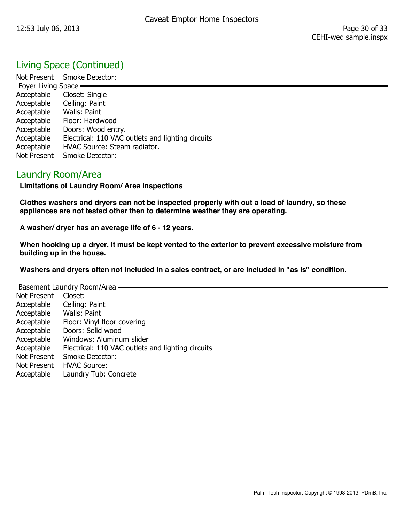## Living Space (Continued)

Not Present Smoke Detector: Foyer Living Space Acceptable Closet: Single Acceptable Ceiling: Paint Acceptable Walls: Paint Acceptable Floor: Hardwood Acceptable Doors: Wood entry. Acceptable Electrical: 110 VAC outlets and lighting circuits Acceptable HVAC Source: Steam radiator. Not Present Smoke Detector:

#### Laundry Room/Area

**Limitations of Laundry Room/ Area Inspections** 

**Clothes washers and dryers can not be inspected properly with out a load of laundry, so these appliances are not tested other then to determine weather they are operating.** 

**A washer/ dryer has an average life of 6 - 12 years.** 

**When hooking up a dryer, it must be kept vented to the exterior to prevent excessive moisture from building up in the house.** 

**Washers and dryers often not included in a sales contract, or are included in "as is" condition.** 

| Basement Laundry Room/Area |                                                   |
|----------------------------|---------------------------------------------------|
|                            |                                                   |
| <b>Not Present</b>         | Closet:                                           |
| Acceptable                 | Ceiling: Paint                                    |
| Acceptable                 | Walls: Paint                                      |
| Acceptable                 | Floor: Vinyl floor covering                       |
| Acceptable                 | Doors: Solid wood                                 |
| Acceptable                 | Windows: Aluminum slider                          |
| Acceptable                 | Electrical: 110 VAC outlets and lighting circuits |
| <b>Not Present</b>         | <b>Smoke Detector:</b>                            |
| <b>Not Present</b>         | <b>HVAC Source:</b>                               |
| Acceptable                 | Laundry Tub: Concrete                             |
|                            |                                                   |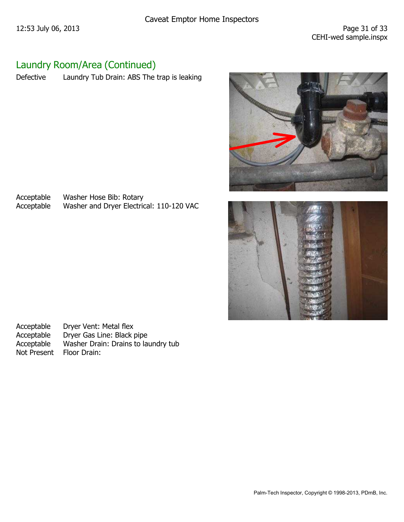## Laundry Room/Area (Continued)

Defective Laundry Tub Drain: ABS The trap is leaking

![](_page_31_Picture_5.jpeg)

![](_page_31_Picture_6.jpeg)

Acceptable Washer Hose Bib: Rotary<br>Acceptable Washer and Dryer Electric Washer and Dryer Electrical: 110-120 VAC

Acceptable Dryer Vent: Metal flex<br>Acceptable Dryer Gas Line: Black µ Dryer Gas Line: Black pipe Acceptable Washer Drain: Drains to laundry tub Not Present Floor Drain: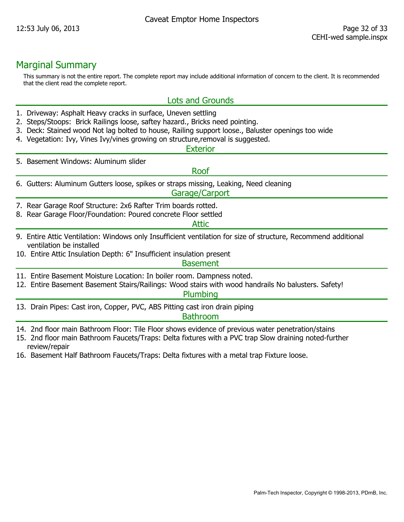#### Marginal Summary

This summary is not the entire report. The complete report may include additional information of concern to the client. It is recommended that the client read the complete report.

#### Lots and Grounds

- 1. Driveway: Asphalt Heavy cracks in surface, Uneven settling
- 2. Steps/Stoops: Brick Railings loose, saftey hazard., Bricks need pointing.
- 3. Deck: Stained wood Not lag bolted to house, Railing support loose., Baluster openings too wide
- 4. Vegetation: Ivy, Vines Ivy/vines growing on structure,removal is suggested.

#### **Exterior**

5. Basement Windows: Aluminum slider

#### Roof

6. Gutters: Aluminum Gutters loose, spikes or straps missing, Leaking, Need cleaning

#### Garage/Carport

- 7. Rear Garage Roof Structure: 2x6 Rafter Trim boards rotted.
- 8. Rear Garage Floor/Foundation: Poured concrete Floor settled

#### Attic

- 9. Entire Attic Ventilation: Windows only Insufficient ventilation for size of structure, Recommend additional ventilation be installed
- 10. Entire Attic Insulation Depth: 6" Insufficient insulation present

#### **Basement**

- 11. Entire Basement Moisture Location: In boiler room. Dampness noted.
- 12. Entire Basement Basement Stairs/Railings: Wood stairs with wood handrails No balusters. Safety!

#### Plumbing

13. Drain Pipes: Cast iron, Copper, PVC, ABS Pitting cast iron drain piping

#### **Bathroom**

- 14. 2nd floor main Bathroom Floor: Tile Floor shows evidence of previous water penetration/stains
- 15. 2nd floor main Bathroom Faucets/Traps: Delta fixtures with a PVC trap Slow draining noted-further review/repair
- 16. Basement Half Bathroom Faucets/Traps: Delta fixtures with a metal trap Fixture loose.